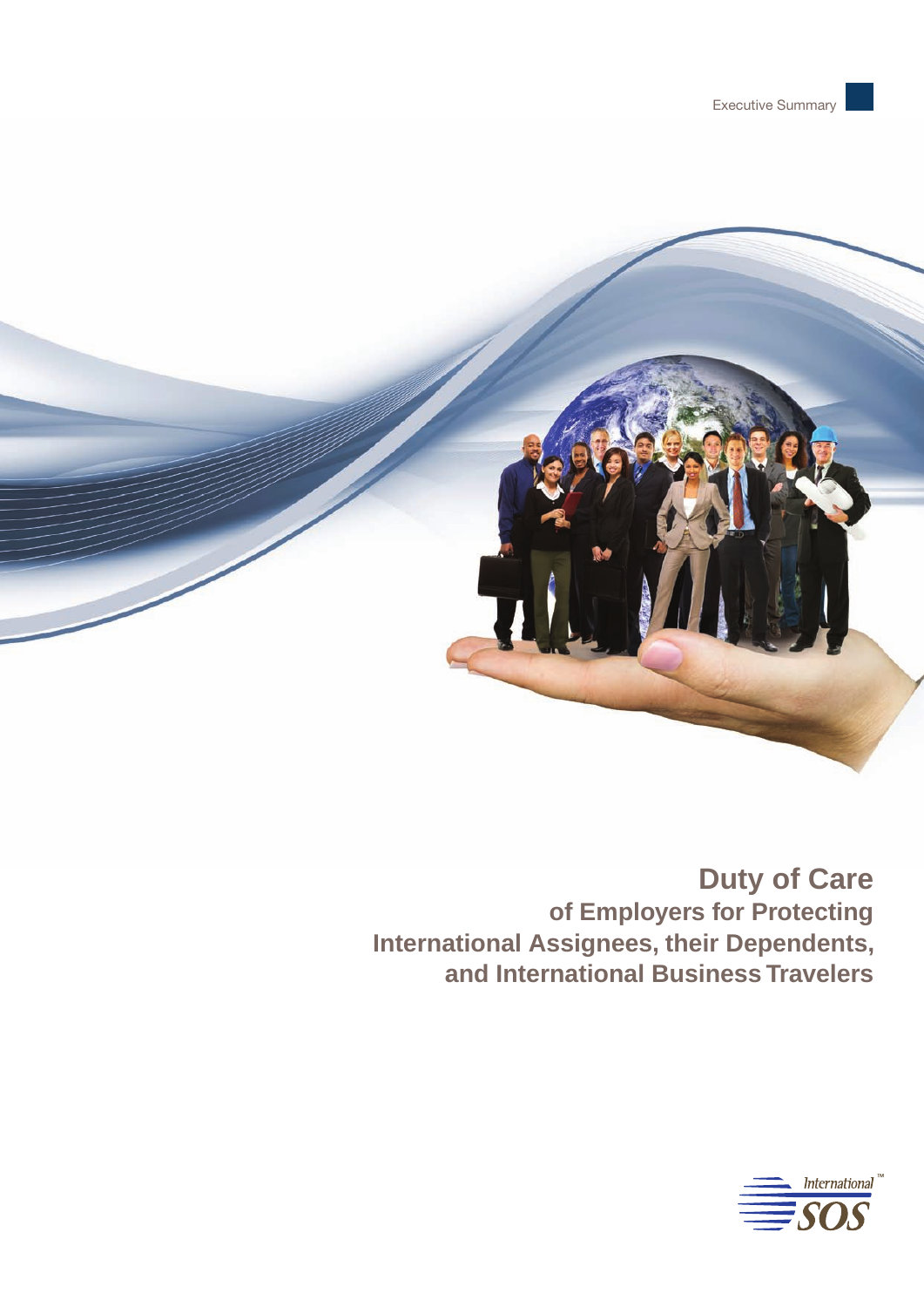

# **Duty of Care of Employers for Protecting International Assignees, their Dependents, and International Business Travelers**

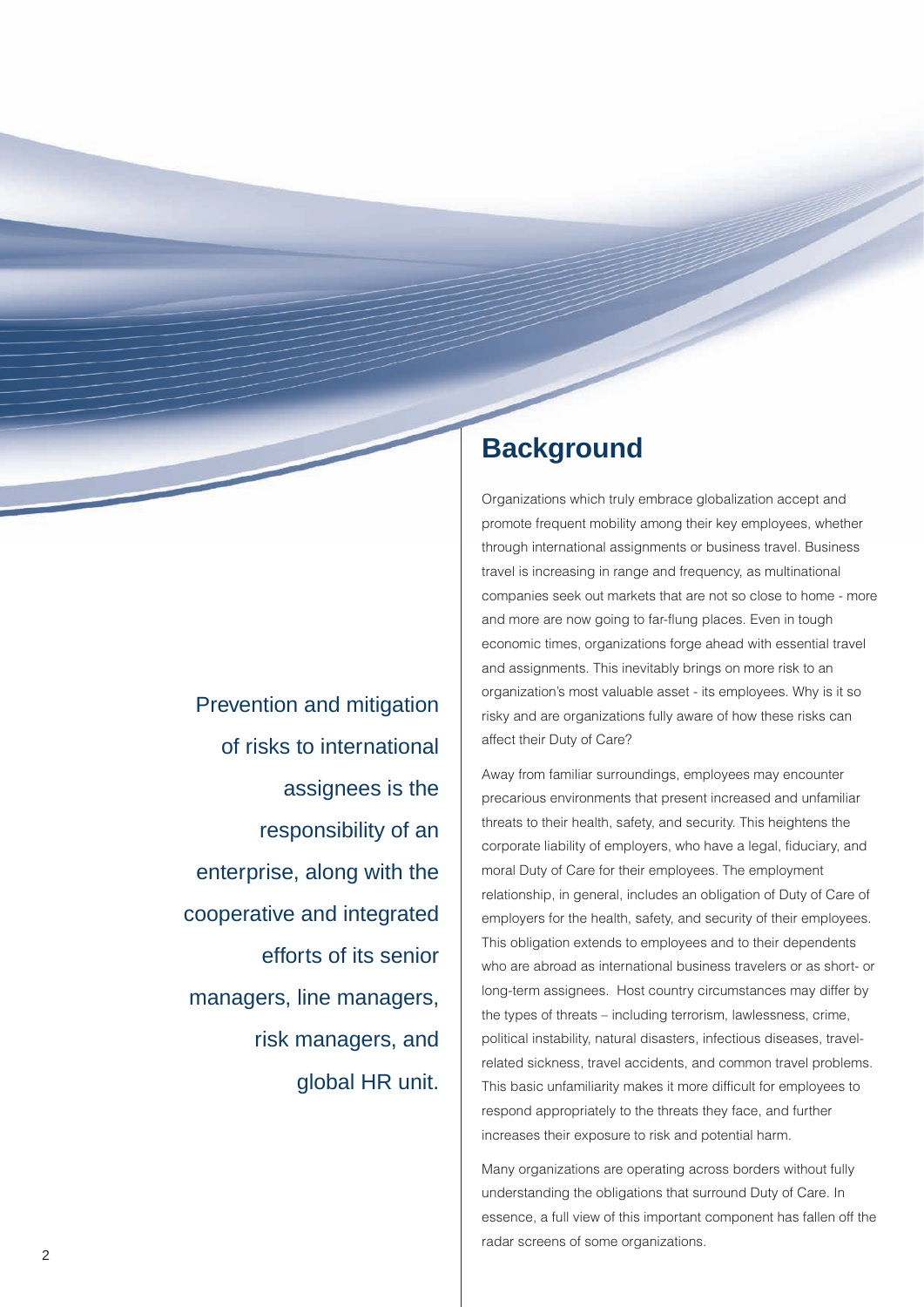Prevention and mitigation of risks to international assignees is the responsibility of an enterprise, along with the cooperative and integrated efforts of its senior managers, line managers, risk managers, and global HR unit.

# **Background**

Organizations which truly embrace globalization accept and promote frequent mobility among their key employees, whether through international assignments or business travel. Business travel is increasing in range and frequency, as multinational companies seek out markets that are not so close to home - more and more are now going to far-flung places. Even in tough economic times, organizations forge ahead with essential travel and assignments. This inevitably brings on more risk to an organization's most valuable asset - its employees. Why is it so risky and are organizations fully aware of how these risks can affect their Duty of Care?

Away from familiar surroundings, employees may encounter precarious environments that present increased and unfamiliar threats to their health, safety, and security. This heightens the corporate liability of employers, who have a legal, fiduciary, and moral Duty of Care for their employees. The employment relationship, in general, includes an obligation of Duty of Care of employers for the health, safety, and security of their employees. This obligation extends to employees and to their dependents who are abroad as international business travelers or as short- or long-term assignees. Host country circumstances may differ by the types of threats – including terrorism, lawlessness, crime, political instability, natural disasters, infectious diseases, travelrelated sickness, travel accidents, and common travel problems. This basic unfamiliarity makes it more difficult for employees to respond appropriately to the threats they face, and further increases their exposure to risk and potential harm.

Many organizations are operating across borders without fully understanding the obligations that surround Duty of Care. In essence, a full view of this important component has fallen off the radar screens of some organizations.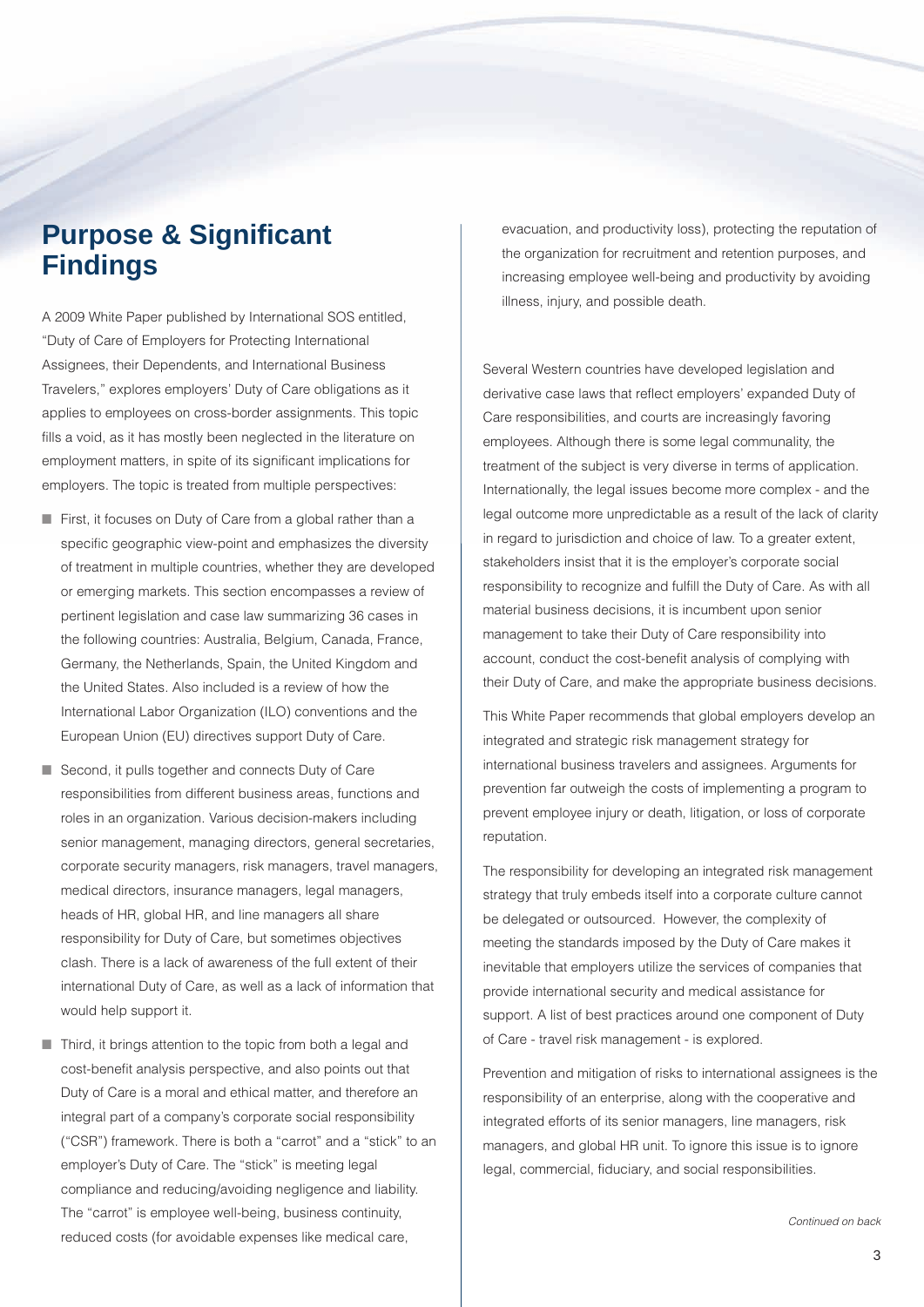# **Purpose & Significant Findings**

A 2009 White Paper published by International SOS entitled, "Duty of Care of Employers for Protecting International Assignees, their Dependents, and International Business Travelers," explores employers' Duty of Care obligations as it applies to employees on cross-border assignments. This topic fills a void, as it has mostly been neglected in the literature on employment matters, in spite of its significant implications for employers. The topic is treated from multiple perspectives:

- First, it focuses on Duty of Care from a global rather than a specific geographic view-point and emphasizes the diversity of treatment in multiple countries, whether they are developed or emerging markets. This section encompasses a review of pertinent legislation and case law summarizing 36 cases in the following countries: Australia, Belgium, Canada, France, Germany, the Netherlands, Spain, the United Kingdom and the United States. Also included is a review of how the International Labor Organization (ILO) conventions and the European Union (EU) directives support Duty of Care.
- Second, it pulls together and connects Duty of Care responsibilities from different business areas, functions and roles in an organization. Various decision-makers including senior management, managing directors, general secretaries, corporate security managers, risk managers, travel managers, medical directors, insurance managers, legal managers, heads of HR, global HR, and line managers all share responsibility for Duty of Care, but sometimes objectives clash. There is a lack of awareness of the full extent of their international Duty of Care, as well as a lack of information that would help support it.
- Third, it brings attention to the topic from both a legal and cost-benefit analysis perspective, and also points out that Duty of Care is a moral and ethical matter, and therefore an integral part of a company's corporate social responsibility ("CSR") framework. There is both a "carrot" and a "stick" to an employer's Duty of Care. The "stick" is meeting legal compliance and reducing/avoiding negligence and liability. The "carrot" is employee well-being, business continuity, reduced costs (for avoidable expenses like medical care,

evacuation, and productivity loss), protecting the reputation of the organization for recruitment and retention purposes, and increasing employee well-being and productivity by avoiding illness, injury, and possible death.

Several Western countries have developed legislation and derivative case laws that reflect employers' expanded Duty of Care responsibilities, and courts are increasingly favoring employees. Although there is some legal communality, the treatment of the subject is very diverse in terms of application. Internationally, the legal issues become more complex - and the legal outcome more unpredictable as a result of the lack of clarity in regard to jurisdiction and choice of law. To a greater extent, stakeholders insist that it is the employer's corporate social responsibility to recognize and fulfill the Duty of Care. As with all material business decisions, it is incumbent upon senior management to take their Duty of Care responsibility into account, conduct the cost-benefit analysis of complying with their Duty of Care, and make the appropriate business decisions.

This White Paper recommends that global employers develop an integrated and strategic risk management strategy for international business travelers and assignees. Arguments for prevention far outweigh the costs of implementing a program to prevent employee injury or death, litigation, or loss of corporate reputation.

The responsibility for developing an integrated risk management strategy that truly embeds itself into a corporate culture cannot be delegated or outsourced. However, the complexity of meeting the standards imposed by the Duty of Care makes it inevitable that employers utilize the services of companies that provide international security and medical assistance for support. A list of best practices around one component of Duty of Care - travel risk management - is explored.

Prevention and mitigation of risks to international assignees is the responsibility of an enterprise, along with the cooperative and integrated efforts of its senior managers, line managers, risk managers, and global HR unit. To ignore this issue is to ignore legal, commercial, fiduciary, and social responsibilities.